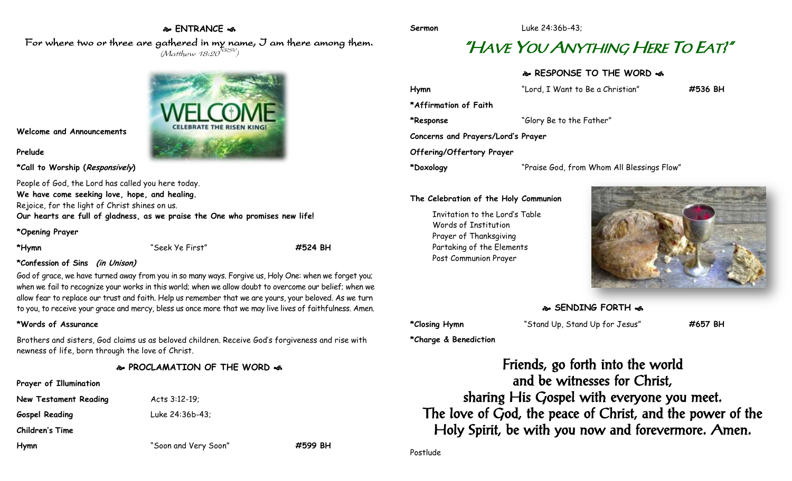# **ENTRANCE**

For where two or three are gathered in my name, I am there among them.  $(M$ atthew 18:20 $^{NRSV})$ 



**Welcome and Announcements**

### **Prelude**

**\*Call to Worship (Responsively)** 

People of God, the Lord has called you here today. **We have come seeking love, hope, and healing.** Rejoice, for the light of Christ shines on us. **Our hearts are full of gladness, as we praise the One who promises new life!**

**\*Opening Prayer**

**\*Hymn** "Seek Ye First" **#524 BH**

### **\*Confession of Sins (in Unison)**

God of grace, we have turned away from you in so many ways. Forgive us, Holy One: when we forget you; when we fail to recognize your works in this world; when we allow doubt to overcome our belief; when we allow fear to replace our trust and faith. Help us remember that we are yours, your beloved. As we turn to you, to receive your grace and mercy, bless us once more that we may live lives of faithfulness. Amen.

### **\*Words of Assurance**

Brothers and sisters, God claims us as beloved children. Receive God's forgiveness and rise with newness of life, born through the love of Christ.

### **PROCLAMATION OF THE WORD**

**Prayer of Illumination**

**New Testament Reading Acts 3:12-19; Gospel Reading** Luke 24:36b-43;

**Children's Time**

**Hymn** "Soon and Very Soon" **#599 BH**

**Sermon** Luke 24:36b-43;

# "HAVE YOU ANYTHING HERE TO EAT?"

## **RESPONSE TO THE WORD**

| Hymn                               | "Lord, I Want to Be a Christian"           | #536 BH |
|------------------------------------|--------------------------------------------|---------|
| *Affirmation of Faith              |                                            |         |
| *Response                          | "Glory Be to the Father"                   |         |
| Concerns and Prayers/Lord's Prayer |                                            |         |
| Offering/Offertory Prayer          |                                            |         |
| *Doxology                          | "Praise God, from Whom All Blessings Flow" |         |

### **The Celebration of the Holy Communion**

Invitation to the Lord's Table Words of Institution Prayer of Thanksgiving Partaking of the Elements Post Communion Prayer



### **SENDING FORTH**

**\*Charge & Benediction**

**\*Closing Hymn** "Stand Up, Stand Up for Jesus" **#657 BH**

Friends, go forth into the world and be witnesses for Christ, sharing His Gospel with everyone you meet. The love of God, the peace of Christ, and the power of the Holy Spirit, be with you now and forevermore. Amen.

Postlude